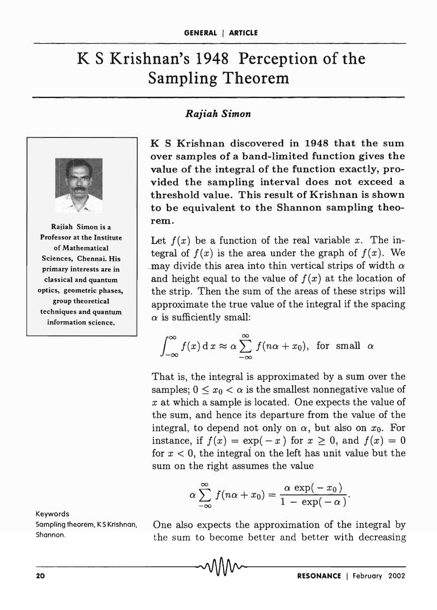## K **S Krishnan's 1948 Perception of the Sampling Theorem**

## *Rajiah Simon*



Raiiah Simon is a Professor at the Institute of Mathematical Sciences, Chennai. His primary interests are in classical and quantum optics, geometric phases, group theoretical techniques and quantum information science.

Keywords Sompling theorem, K S Krishnan, Shannon.

K S Krishnan discovered in 1948 that the sum over samples of a band-limited function gives the value of the integral of the function exactly, provided the sampling interval does not exceed a threshold value. This result of Krishnan is shown to be equivalent to the Shannon sampling theorem.

Let  $f(x)$  be a function of the real variable x. The integral of  $f(x)$  is the area under the graph of  $f(x)$ . We -may divide this area into thin vertical strips of width  $\alpha$ and height equal to the value of  $f(x)$  at the location of the strip. Then the sum of the areas of these strips will approximate the true value of the integral if the spacing  $\alpha$  is sufficiently small:

$$
\int_{-\infty}^{\infty} f(x) dx \approx \alpha \sum_{-\infty}^{\infty} f(n\alpha + x_0), \text{ for small } \alpha
$$

That is, the integral is approximated by a sum over the samples;  $0 \le x_0 \le \alpha$  is the smallest nonnegative value of *x* at which a sample is located. One expects the value of the sum, and hence its departure from the value of the integral, to depend not only on  $\alpha$ , but also on  $x_0$ . For instance, if  $f(x) = \exp(-x)$  for  $x \ge 0$ , and  $f(x) = 0$ for  $x < 0$ , the integral on the left has unit value but the sum on the right assumes the value

$$
\alpha \sum_{-\infty}^{\infty} f(n\alpha + x_0) = \frac{\alpha \exp(-x_0)}{1 - \exp(-\alpha)}.
$$

One also expects the approximation of the integral by the sum to become better and better with decreasing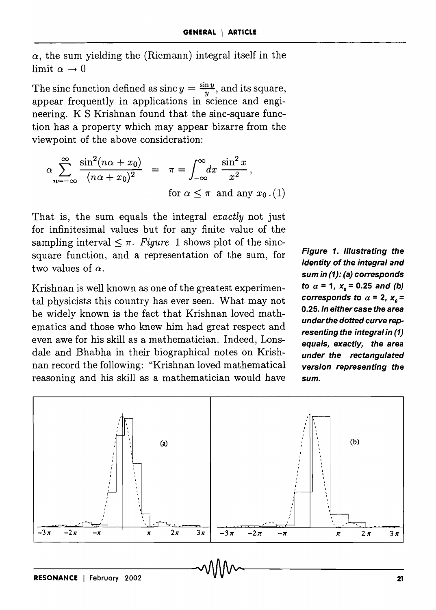$\alpha$ , the sum yielding the (Riemann) integral itself in the limit  $\alpha \rightarrow 0$ 

The sinc function defined as  $\sin(y) = \frac{\sin y}{y}$ , and its square, appear frequently in applications in science and engineering. K S Krishnan found that the sine-square function has a property which may appear bizarre from the viewpoint of the above consideration:

$$
\alpha \sum_{n=-\infty}^{\infty} \frac{\sin^2(n\alpha + x_0)}{(n\alpha + x_0)^2} = \pi = \int_{-\infty}^{\infty} dx \frac{\sin^2 x}{x^2},
$$
  
for  $\alpha \le \pi$  and any  $x_0$ . (1)

That is, the sum equals the integral *exactly* not just for infinitesimal values but for any finite value of the sampling interval  $\leq \pi$ . *Figure* 1 shows plot of the sincsquare function, and a representation of the sum, for two values of  $\alpha$ .

Krishnan is well known as one of the greatest experimental physicists this country has ever seen. What may not be widely known is the fact that Krishnan loved mathematics and those who knew him had great respect and even awe for his skill as a mathematician. Indeed, Lonsdale and Bhabha in their biographical notes on Krishnan record the following: "Krishnan loved mathematical reasoning and his skill as a mathematician would have

**Figure 1. Illustrating the identity of the integral and**  sum in (1): (a) corresponds  $\mathbf{to} \ \alpha = 1, \ \mathbf{x}_0 = 0.25 \ \text{and} \ (\mathbf{b})$ corresponds to  $\alpha = 2$ ,  $x_{0} = 1$ *0.25.* **In either case the area**  *under the* **dotted curve representing the integral in (1) equals, exactly, the area under the rectangulated version representing the**  sum.

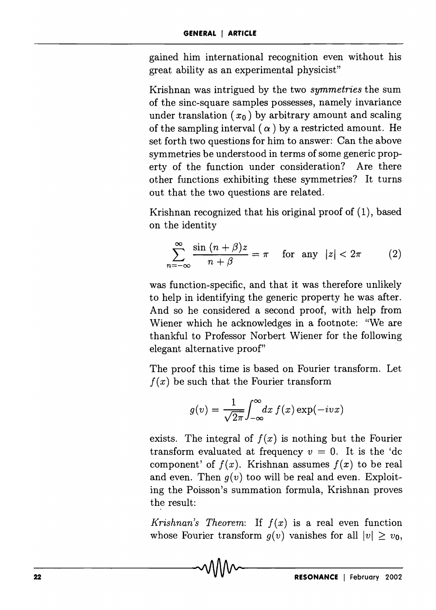gained him international recognition even without his great ability as an experimental physicist"

Krishnan was intrigued by the two *symmetries* the sum of the sine-square samples possesses, namely invariance under translation  $(x_0)$  by arbitrary amount and scaling of the sampling interval ( $\alpha$ ) by a restricted amount. He set forth two questions for him to answer: Can the above symmetries be understood in terms of some generic property of the function under consideration? Are there other functions exhibiting these symmetries? It turns out that the two questions are related.

Krishnan recognized that his original proof of (1), based on the identity

$$
\sum_{n=-\infty}^{\infty} \frac{\sin (n+\beta)z}{n+\beta} = \pi \quad \text{for any } |z| < 2\pi \tag{2}
$$

was function-specific, and that it was therefore unlikely to help in identifying the generic property he was after. And so he considered a second proof, with help from Wiener which he acknowledges in a footnote: "We are thankful to Professor Norbert Wiener for the following elegant alternative proof"

The proof this time is based on Fourier transform. Let  $f(x)$  be such that the Fourier transform

$$
g(v) = \frac{1}{\sqrt{2\pi}} \int_{-\infty}^{\infty} dx f(x) \exp(-ivx)
$$

exists. The integral of  $f(x)$  is nothing but the Fourier transform evaluated at frequency  $v = 0$ . It is the 'dc component' of  $f(x)$ . Krishnan assumes  $f(x)$  to be real and even. Then  $q(v)$  too will be real and even. Exploiting the Poisson's summation formula, Krishnan proves the result:

*Krishnan's Theorem:* If  $f(x)$  is a real even function whose Fourier transform  $g(v)$  vanishes for all  $|v| \ge v_0$ ,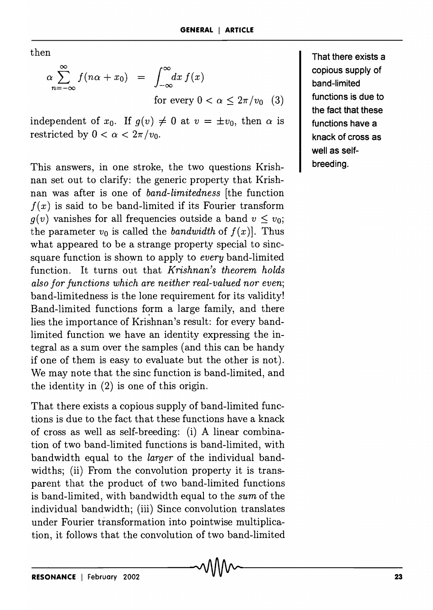then

$$
\alpha \sum_{n=-\infty}^{\infty} f(n\alpha + x_0) = \int_{-\infty}^{\infty} dx f(x)
$$
  
for every  $0 < \alpha \le 2\pi/v_0$  (3)

independent of  $x_0$ . If  $g(v) \neq 0$  at  $v = \pm v_0$ , then  $\alpha$  is restricted by  $0 < \alpha < 2\pi/v_0$ .

This answers, in one stroke, the two questions Krishnan set out to clarify: the generic property that Krishnan was after is one of *band-limitedness* [the function  $f(x)$  is said to be band-limited if its Fourier transform  $g(v)$  vanishes for all frequencies outside a band  $v \leq v_0$ ; the parameter  $v_0$  is called the *bandwidth* of  $f(x)$ . Thus what appeared to be a strange property special to sincsquare function is shown to apply to *every* band-limited function. It turns out that *Krishnan's theorem holds also for functions which are neither real-valued nor even;*  band-limitedness is the lone requirement for its validity! Band-limited functions form a large family, and there lies the importance of Krishnan's result: for every bandlimited function we have an identity expressing the integral as a sum over the samples (and this can be handy if one of them is easy to evaluate but the other is not). We may note that the sinc function is band-limited, and the identity in (2) is one of this origin.

That there exists a copious supply of band-limited functions is due to the fact that these functions have a knack of cross as well as self-breeding: (i) A linear combination of two band-limited functions is band-limited, with bandwidth equal to the *larger* of the individual bandwidths; (ii) From the convolution property it is transparent that the product of two band-limited functions is band-limited, with bandwidth equal to the *sum* of the individual bandwidth; (iii) Since convolution translates under Fourier transformation into pointwise multiplication, it follows that the convolution of two band-limited That there exists a copious supply of band-limited functions is due to the fact that these functions have a knack of cross as well as selfbreeding.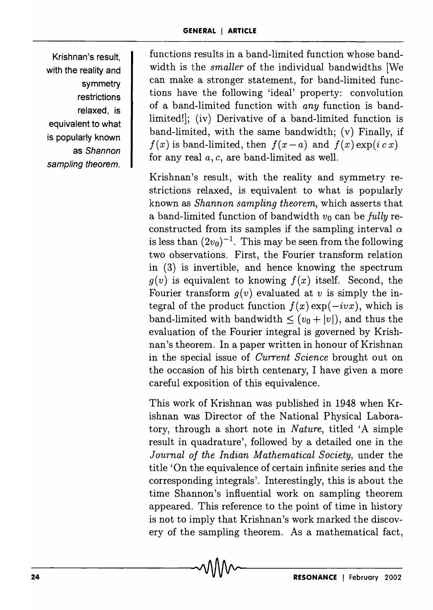Krishnan's result, with the reality and symmetry restrictions relaxed, is equivalent to what is popularly known as Shannon sampling theorem.

functions results in a band-limited function whose bandwidth is the *smaller* of the individual bandwidths [We can make a stronger statement, for band-limited functions have the following 'ideal' property: convolution of a band-limited function with *any* function is bandlimited!]; (iv) Derivative of a band-limited function is band-limited, with the same bandwidth; (v) Finally, if  $f(x)$  is band-limited, then  $f(x-a)$  and  $f(x) \exp(i c x)$ for any real *a,* c, are band-limited as well.

Krishnan's result, with the reality and symmetry restrictions relaxed, is equivalent to what is popularly known as *Shannon sampling theorem,* which asserts that a band-limited function of bandwidth  $v_0$  can be *fully* reconstructed from its samples if the sampling interval  $\alpha$ is less than  $(2v_0)^{-1}$ . This may be seen from the following two observations. First, the Fourier transform relation in (3) is invertible, and hence knowing the spectrum  $g(v)$  is equivalent to knowing  $f(x)$  itself. Second, the Fourier transform  $g(v)$  evaluated at v is simply the integral of the product function  $f(x) \exp(-ivx)$ , which is band-limited with bandwidth  $\leq (v_0 + |v|)$ , and thus the evaluation of the Fourier integral is governed by Krishnan's theorem. In a paper written in honour of Krishnan in the special issue of *Current Science* brought out on the occasion of his birth centenary, I have given a more careful exposition of this equivalence.

This work of Krishnan was published in 1948 when Krishnan was Director of the National Physical Laboratory, through a short note in *Nature,* titled 'A simple result in quadrature', followed by a detailed one in the *Journal of the Indian Mathematical Society,* under the title 'On the equivalence of certain infinite series and the corresponding integrals'. Interestingly, this is about the time Shannon's influential work on sampling theorem appeared. This reference to the point of time in history is not to imply that Krishnan's work marked the discovery of the sampling theorem. As a mathematical fact,